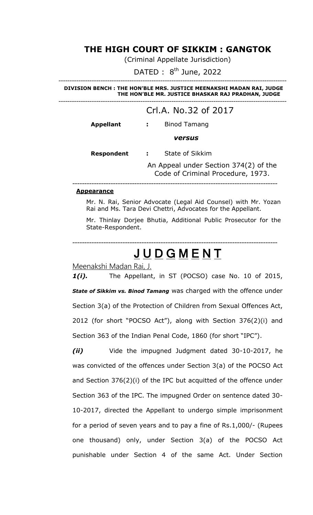### **THE HIGH COURT OF SIKKIM : GANGTOK**

(Criminal Appellate Jurisdiction)

DATED :  $8^{\text{th}}$  June, 2022

------------------------------------------------------------------------------------------------------- **--- DIVISION BENCH : THE HON'BLE MRS. JUSTICE MEENAKSHI MADAN RAI, JUDGE THE HON'BLE MR. JUSTICE BHASKAR RAJ PRADHAN, JUDGE**

-------------------------------------------------------------------------------------------------------

### Crl.A. No.32 of 2017 **Appellant :** Binod Tamang *versus*  **Respondent :** State of Sikkim An Appeal under Section 374(2) of the Code of Criminal Procedure, 1973. --------------------------------------------------------------------------------------

#### **Appearance**

Mr. N. Rai, Senior Advocate (Legal Aid Counsel) with Mr. Yozan Rai and Ms. Tara Devi Chettri, Advocates for the Appellant.

Mr. Thinlay Dorjee Bhutia, Additional Public Prosecutor for the State-Respondent.

## **JUDGMENT**

--------------------------------------------------------------------------------------

Meenakshi Madan Rai, J.

1(i). The Appellant, in ST (POCSO) case No. 10 of 2015, *State of Sikkim vs. Binod Tamang* was charged with the offence under Section 3(a) of the Protection of Children from Sexual Offences Act, 2012 (for short "POCSO Act"), along with Section 376(2)(i) and Section 363 of the Indian Penal Code, 1860 (for short "IPC").

*(ii)* Vide the impugned Judgment dated 30-10-2017, he was convicted of the offences under Section 3(a) of the POCSO Act and Section 376(2)(i) of the IPC but acquitted of the offence under Section 363 of the IPC. The impugned Order on sentence dated 30- 10-2017, directed the Appellant to undergo simple imprisonment for a period of seven years and to pay a fine of Rs.1,000/- (Rupees one thousand) only, under Section 3(a) of the POCSO Act punishable under Section 4 of the same Act. Under Section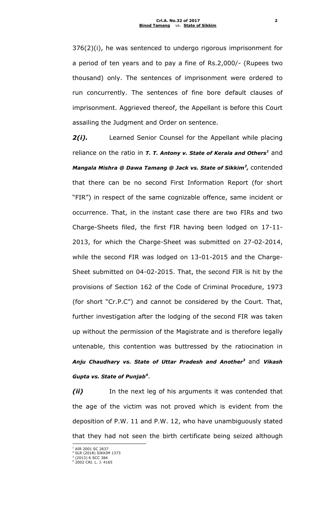376(2)(i), he was sentenced to undergo rigorous imprisonment for a period of ten years and to pay a fine of Rs.2,000/- (Rupees two thousand) only. The sentences of imprisonment were ordered to run concurrently. The sentences of fine bore default clauses of imprisonment. Aggrieved thereof, the Appellant is before this Court assailing the Judgment and Order on sentence.

2(i). Learned Senior Counsel for the Appellant while placing reliance on the ratio in *T. T. Antony v. State of Kerala and Others<sup>1</sup>* and *Mangala Mishra @ Dawa Tamang @ Jack vs. State of Sikkim<sup>2</sup> ,* contended that there can be no second First Information Report (for short "FIR") in respect of the same cognizable offence, same incident or occurrence. That, in the instant case there are two FIRs and two Charge-Sheets filed, the first FIR having been lodged on 17-11- 2013, for which the Charge-Sheet was submitted on 27-02-2014, while the second FIR was lodged on 13-01-2015 and the Charge-Sheet submitted on 04-02-2015. That, the second FIR is hit by the provisions of Section 162 of the Code of Criminal Procedure, 1973 (for short "Cr.P.C") and cannot be considered by the Court. That, further investigation after the lodging of the second FIR was taken up without the permission of the Magistrate and is therefore legally untenable, this contention was buttressed by the ratiocination in *Anju Chaudhary vs. State of Uttar Pradesh and Another<sup>3</sup>* and *Vikash Gupta vs. State of Punjab<sup>4</sup>* .

*(ii)* In the next leg of his arguments it was contended that the age of the victim was not proved which is evident from the deposition of P.W. 11 and P.W. 12, who have unambiguously stated that they had not seen the birth certificate being seized although

<sup>&</sup>lt;sup>1</sup> AIR 2001 SC 2637

<sup>2</sup> SLR (2018) SIKKIM 1373

<sup>3</sup> (2013) 6 SCC 384 <sup>4</sup> 2002 CRI. L. J. 4165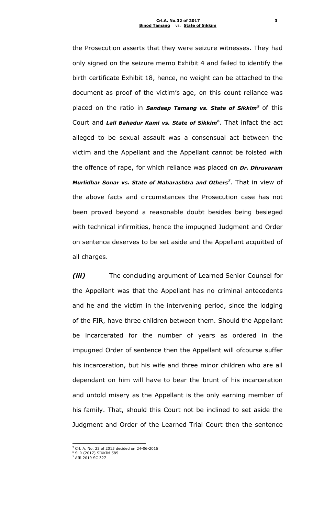the Prosecution asserts that they were seizure witnesses. They had only signed on the seizure memo Exhibit 4 and failed to identify the birth certificate Exhibit 18, hence, no weight can be attached to the document as proof of the victim's age, on this count reliance was placed on the ratio in *Sandeep Tamang vs. State of Sikkim<sup>5</sup>* of this Court and *Lall Bahadur Kami vs. State of Sikkim<sup>6</sup>* . That infact the act alleged to be sexual assault was a consensual act between the victim and the Appellant and the Appellant cannot be foisted with the offence of rape, for which reliance was placed on *Dr. Dhruvaram Murlidhar Sonar vs. State of Maharashtra and Others<sup>7</sup>* . That in view of the above facts and circumstances the Prosecution case has not been proved beyond a reasonable doubt besides being besieged with technical infirmities, hence the impugned Judgment and Order on sentence deserves to be set aside and the Appellant acquitted of all charges.

*(iii)* The concluding argument of Learned Senior Counsel for the Appellant was that the Appellant has no criminal antecedents and he and the victim in the intervening period, since the lodging of the FIR, have three children between them. Should the Appellant be incarcerated for the number of years as ordered in the impugned Order of sentence then the Appellant will ofcourse suffer his incarceration, but his wife and three minor children who are all dependant on him will have to bear the brunt of his incarceration and untold misery as the Appellant is the only earning member of his family. That, should this Court not be inclined to set aside the Judgment and Order of the Learned Trial Court then the sentence

<sup>5</sup> Crl. A. No. 23 of 2015 decided on 24-06-2016

<sup>6</sup> SLR (2017) SIKKIM 585 <sup>7</sup> AIR 2019 SC 327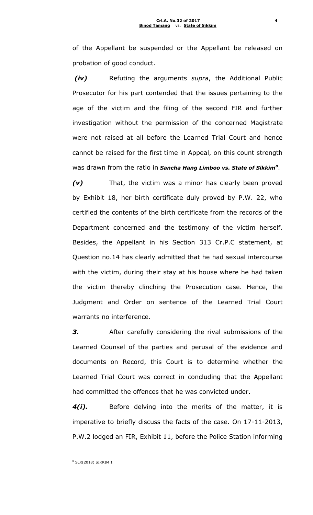of the Appellant be suspended or the Appellant be released on probation of good conduct.

*(iv)* Refuting the arguments *supra*, the Additional Public Prosecutor for his part contended that the issues pertaining to the age of the victim and the filing of the second FIR and further investigation without the permission of the concerned Magistrate were not raised at all before the Learned Trial Court and hence cannot be raised for the first time in Appeal, on this count strength was drawn from the ratio in *Sancha Hang Limboo vs. State of Sikkim<sup>8</sup>* .

*(v)* That, the victim was a minor has clearly been proved by Exhibit 18, her birth certificate duly proved by P.W. 22, who certified the contents of the birth certificate from the records of the Department concerned and the testimony of the victim herself. Besides, the Appellant in his Section 313 Cr.P.C statement, at Question no.14 has clearly admitted that he had sexual intercourse with the victim, during their stay at his house where he had taken the victim thereby clinching the Prosecution case. Hence, the Judgment and Order on sentence of the Learned Trial Court warrants no interference.

**3.** After carefully considering the rival submissions of the Learned Counsel of the parties and perusal of the evidence and documents on Record, this Court is to determine whether the Learned Trial Court was correct in concluding that the Appellant had committed the offences that he was convicted under.

*4(i).* Before delving into the merits of the matter, it is imperative to briefly discuss the facts of the case. On 17-11-2013, P.W.2 lodged an FIR, Exhibit 11, before the Police Station informing

<sup>8</sup> SLR(2018) SIKKIM 1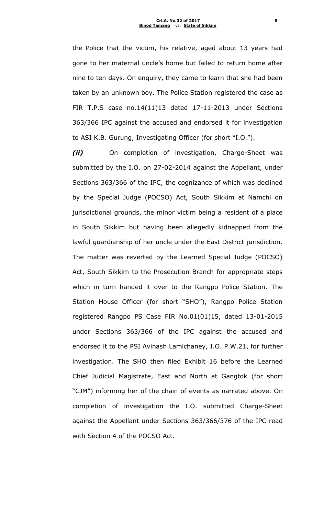the Police that the victim, his relative, aged about 13 years had gone to her maternal uncle's home but failed to return home after nine to ten days. On enquiry, they came to learn that she had been taken by an unknown boy. The Police Station registered the case as FIR T.P.S case no.14(11)13 dated 17-11-2013 under Sections 363/366 IPC against the accused and endorsed it for investigation to ASI K.B. Gurung, Investigating Officer (for short "I.O.").

*(ii)* On completion of investigation, Charge-Sheet was submitted by the I.O. on 27-02-2014 against the Appellant, under Sections 363/366 of the IPC, the cognizance of which was declined by the Special Judge (POCSO) Act, South Sikkim at Namchi on jurisdictional grounds, the minor victim being a resident of a place in South Sikkim but having been allegedly kidnapped from the lawful guardianship of her uncle under the East District jurisdiction. The matter was reverted by the Learned Special Judge (POCSO) Act, South Sikkim to the Prosecution Branch for appropriate steps which in turn handed it over to the Rangpo Police Station. The Station House Officer (for short "SHO"), Rangpo Police Station registered Rangpo PS Case FIR No.01(01)15, dated 13-01-2015 under Sections 363/366 of the IPC against the accused and endorsed it to the PSI Avinash Lamichaney, I.O. P.W.21, for further investigation. The SHO then filed Exhibit 16 before the Learned Chief Judicial Magistrate, East and North at Gangtok (for short "CJM") informing her of the chain of events as narrated above. On completion of investigation the I.O. submitted Charge-Sheet against the Appellant under Sections 363/366/376 of the IPC read with Section 4 of the POCSO Act.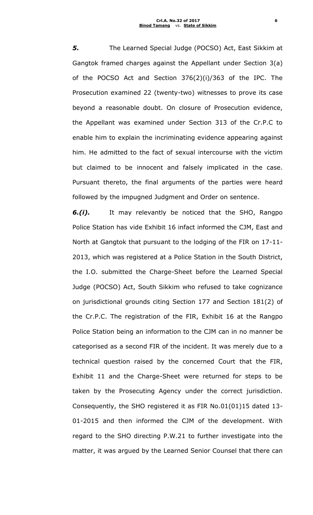*5.* The Learned Special Judge (POCSO) Act, East Sikkim at Gangtok framed charges against the Appellant under Section 3(a) of the POCSO Act and Section 376(2)(i)/363 of the IPC. The Prosecution examined 22 (twenty-two) witnesses to prove its case beyond a reasonable doubt. On closure of Prosecution evidence, the Appellant was examined under Section 313 of the Cr.P.C to enable him to explain the incriminating evidence appearing against him. He admitted to the fact of sexual intercourse with the victim but claimed to be innocent and falsely implicated in the case. Pursuant thereto, the final arguments of the parties were heard followed by the impugned Judgment and Order on sentence.

*6.(i).* It may relevantly be noticed that the SHO, Rangpo Police Station has vide Exhibit 16 infact informed the CJM, East and North at Gangtok that pursuant to the lodging of the FIR on 17-11- 2013, which was registered at a Police Station in the South District, the I.O. submitted the Charge-Sheet before the Learned Special Judge (POCSO) Act, South Sikkim who refused to take cognizance on jurisdictional grounds citing Section 177 and Section 181(2) of the Cr.P.C. The registration of the FIR, Exhibit 16 at the Rangpo Police Station being an information to the CJM can in no manner be categorised as a second FIR of the incident. It was merely due to a technical question raised by the concerned Court that the FIR, Exhibit 11 and the Charge-Sheet were returned for steps to be taken by the Prosecuting Agency under the correct jurisdiction. Consequently, the SHO registered it as FIR No.01(01)15 dated 13- 01-2015 and then informed the CJM of the development. With regard to the SHO directing P.W.21 to further investigate into the matter, it was argued by the Learned Senior Counsel that there can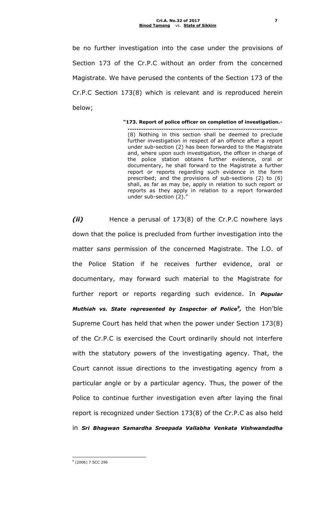be no further investigation into the case under the provisions of Section 173 of the Cr.P.C without an order from the concerned Magistrate. We have perused the contents of the Section 173 of the Cr.P.C Section 173(8) which is relevant and is reproduced herein below;

> **"173. Report of police officer on completion of investigation.- …………………………………………………………………………** (8) Nothing in this section shall be deemed to preclude further investigation in respect of an offence after a report under sub-section (2) has been forwarded to the Magistrate and, where upon such investigation, the officer in charge of the police station obtains further evidence, oral or documentary, he shall forward to the Magistrate a further report or reports regarding such evidence in the form prescribed; and the provisions of sub-sections (2) to (6) shall, as far as may be, apply in relation to such report or reports as they apply in relation to a report forwarded under sub-section (2)."

*(ii)* Hence a perusal of 173(8) of the Cr.P.C nowhere lays down that the police is precluded from further investigation into the matter *sans* permission of the concerned Magistrate. The I.O. of the Police Station if he receives further evidence, oral or documentary, may forward such material to the Magistrate for further report or reports regarding such evidence. In *Popular Muthiah vs. State represented by Inspector of Police<sup>9</sup>, the Hon'ble* Supreme Court has held that when the power under Section 173(8) of the Cr.P.C is exercised the Court ordinarily should not interfere with the statutory powers of the investigating agency. That, the Court cannot issue directions to the investigating agency from a particular angle or by a particular agency. Thus, the power of the Police to continue further investigation even after laying the final report is recognized under Section 173(8) of the Cr.P.C as also held in *Sri Bhagwan Samardha Sreepada Vallabha Venkata Vishwandadha* 

9 (2006) 7 SCC 296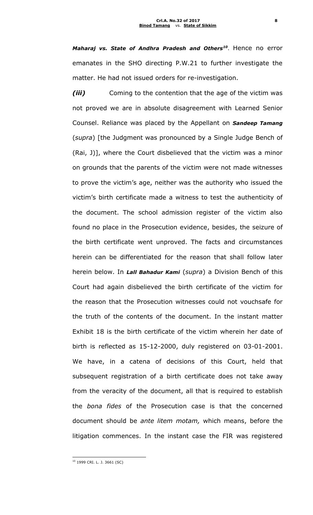*Maharaj vs. State of Andhra Pradesh and Others<sup>10</sup>* . Hence no error emanates in the SHO directing P.W.21 to further investigate the matter. He had not issued orders for re-investigation.

*(iii)* Coming to the contention that the age of the victim was not proved we are in absolute disagreement with Learned Senior Counsel. Reliance was placed by the Appellant on *Sandeep Tamang*  (*supra*) [the Judgment was pronounced by a Single Judge Bench of (Rai, J)], where the Court disbelieved that the victim was a minor on grounds that the parents of the victim were not made witnesses to prove the victim's age, neither was the authority who issued the victim's birth certificate made a witness to test the authenticity of the document. The school admission register of the victim also found no place in the Prosecution evidence, besides, the seizure of the birth certificate went unproved. The facts and circumstances herein can be differentiated for the reason that shall follow later herein below. In *Lall Bahadur Kami* (*supra*) a Division Bench of this Court had again disbelieved the birth certificate of the victim for the reason that the Prosecution witnesses could not vouchsafe for the truth of the contents of the document. In the instant matter Exhibit 18 is the birth certificate of the victim wherein her date of birth is reflected as 15-12-2000, duly registered on 03-01-2001. We have, in a catena of decisions of this Court, held that subsequent registration of a birth certificate does not take away from the veracity of the document, all that is required to establish the *bona fides* of the Prosecution case is that the concerned document should be *ante litem motam,* which means, before the litigation commences. In the instant case the FIR was registered

<sup>10</sup> 1999 CRI. L. J. 3661 (SC)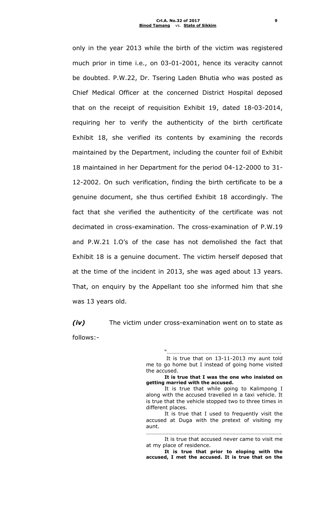only in the year 2013 while the birth of the victim was registered much prior in time i.e., on 03-01-2001, hence its veracity cannot be doubted. P.W.22, Dr. Tsering Laden Bhutia who was posted as Chief Medical Officer at the concerned District Hospital deposed that on the receipt of requisition Exhibit 19, dated 18-03-2014, requiring her to verify the authenticity of the birth certificate Exhibit 18, she verified its contents by examining the records maintained by the Department, including the counter foil of Exhibit 18 maintained in her Department for the period 04-12-2000 to 31- 12-2002. On such verification, finding the birth certificate to be a genuine document, she thus certified Exhibit 18 accordingly. The fact that she verified the authenticity of the certificate was not decimated in cross-examination. The cross-examination of P.W.19 and P.W.21 I.O's of the case has not demolished the fact that Exhibit 18 is a genuine document. The victim herself deposed that at the time of the incident in 2013, she was aged about 13 years. That, on enquiry by the Appellant too she informed him that she was 13 years old.

*(iv)* The victim under cross-examination went on to state as follows:-

"……………………………………………………………………….

It is true that on 13-11-2013 my aunt told me to go home but I instead of going home visited the accused.

**It is true that I was the one who insisted on getting married with the accused.**

It is true that while going to Kalimpong I along with the accused travelled in a taxi vehicle. It is true that the vehicle stopped two to three times in different places.

It is true that I used to frequently visit the accused at Duga with the pretext of visiting my aunt.

……………………………………………………………………………………. It is true that accused never came to visit me at my place of residence.

**It is true that prior to eloping with the accused, I met the accused. It is true that on the**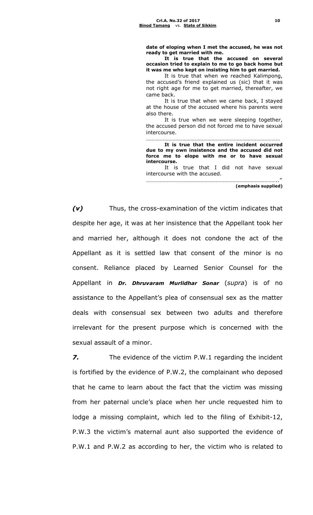**date of eloping when I met the accused, he was not ready to get married with me.**

**It is true that the accused on several occasion tried to explain to me to go back home but it was me who kept on insisting him to get married.**

It is true that when we reached Kalimpong, the accused's friend explained us (sic) that it was not right age for me to get married, thereafter, we came back.

It is true that when we came back, I stayed at the house of the accused where his parents were also there.

It is true when we were sleeping together, the accused person did not forced me to have sexual intercourse.

…………………………………………………………………………………… **It is true that the entire incident occurred due to my own insistence and the accused did not force me to elope with me or to have sexual intercourse.**

It is true that I did not have sexual intercourse with the accused.

………………………………………………………………………………….." **(emphasis supplied)**

*(v)* Thus, the cross-examination of the victim indicates that despite her age, it was at her insistence that the Appellant took her and married her, although it does not condone the act of the Appellant as it is settled law that consent of the minor is no consent. Reliance placed by Learned Senior Counsel for the Appellant in *Dr. Dhruvaram Murlidhar Sonar* (*supra*) is of no assistance to the Appellant's plea of consensual sex as the matter deals with consensual sex between two adults and therefore irrelevant for the present purpose which is concerned with the sexual assault of a minor.

*7.* The evidence of the victim P.W.1 regarding the incident is fortified by the evidence of P.W.2, the complainant who deposed that he came to learn about the fact that the victim was missing from her paternal uncle's place when her uncle requested him to lodge a missing complaint, which led to the filing of Exhibit-12, P.W.3 the victim's maternal aunt also supported the evidence of P.W.1 and P.W.2 as according to her, the victim who is related to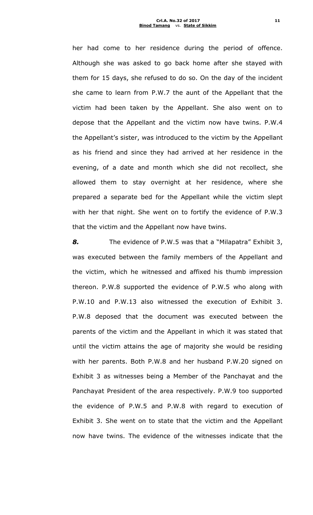her had come to her residence during the period of offence. Although she was asked to go back home after she stayed with them for 15 days, she refused to do so. On the day of the incident she came to learn from P.W.7 the aunt of the Appellant that the victim had been taken by the Appellant. She also went on to depose that the Appellant and the victim now have twins. P.W.4 the Appellant's sister, was introduced to the victim by the Appellant as his friend and since they had arrived at her residence in the evening, of a date and month which she did not recollect, she allowed them to stay overnight at her residence, where she prepared a separate bed for the Appellant while the victim slept with her that night. She went on to fortify the evidence of P.W.3 that the victim and the Appellant now have twins.

*8.* The evidence of P.W.5 was that a "Milapatra" Exhibit 3, was executed between the family members of the Appellant and the victim, which he witnessed and affixed his thumb impression thereon. P.W.8 supported the evidence of P.W.5 who along with P.W.10 and P.W.13 also witnessed the execution of Exhibit 3. P.W.8 deposed that the document was executed between the parents of the victim and the Appellant in which it was stated that until the victim attains the age of majority she would be residing with her parents. Both P.W.8 and her husband P.W.20 signed on Exhibit 3 as witnesses being a Member of the Panchayat and the Panchayat President of the area respectively. P.W.9 too supported the evidence of P.W.5 and P.W.8 with regard to execution of Exhibit 3. She went on to state that the victim and the Appellant now have twins. The evidence of the witnesses indicate that the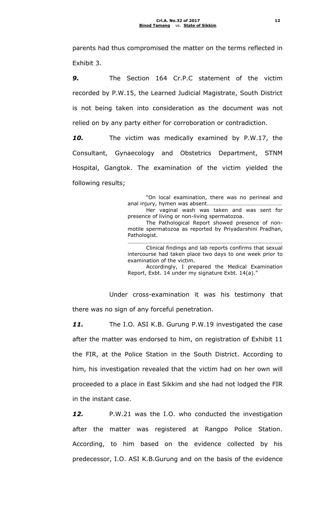parents had thus compromised the matter on the terms reflected in Exhibit 3.

*9.* The Section 164 Cr.P.C statement of the victim recorded by P.W.15, the Learned Judicial Magistrate, South District is not being taken into consideration as the document was not relied on by any party either for corroboration or contradiction.

*10.* The victim was medically examined by P.W.17, the Consultant, Gynaecology and Obstetrics Department, STNM Hospital, Gangtok. The examination of the victim yielded the following results;

> "On local examination, there was no perineal and anal injury, hymen was absent…………………………………………….. Her vaginal wash was taken and was sent for presence of living or non-living spermatozoa. The Pathological Report showed presence of nonmotile spermatozoa as reported by Priyadarshini Pradhan, Pathologist. …………………………………………………………………………………………………

> Clinical findings and lab reports confirms that sexual intercourse had taken place two days to one week prior to examination of the victim.

> Accordingly, I prepared the Medical Examination Report, Exbt. 14 under my signature Exbt. 14(a)."

Under cross-examination it was his testimony that there was no sign of any forceful penetration.

*11.* The I.O. ASI K.B. Gurung P.W.19 investigated the case after the matter was endorsed to him, on registration of Exhibit 11 the FIR, at the Police Station in the South District. According to him, his investigation revealed that the victim had on her own will proceeded to a place in East Sikkim and she had not lodged the FIR in the instant case.

*12.* P.W.21 was the I.O. who conducted the investigation after the matter was registered at Rangpo Police Station. According, to him based on the evidence collected by his predecessor, I.O. ASI K.B.Gurung and on the basis of the evidence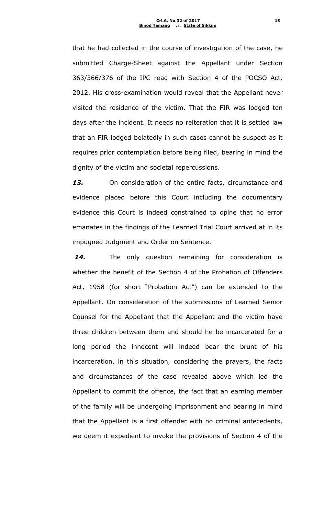that he had collected in the course of investigation of the case, he submitted Charge-Sheet against the Appellant under Section 363/366/376 of the IPC read with Section 4 of the POCSO Act, 2012. His cross-examination would reveal that the Appellant never visited the residence of the victim. That the FIR was lodged ten days after the incident. It needs no reiteration that it is settled law that an FIR lodged belatedly in such cases cannot be suspect as it requires prior contemplation before being filed, bearing in mind the dignity of the victim and societal repercussions.

*13.* On consideration of the entire facts, circumstance and evidence placed before this Court including the documentary evidence this Court is indeed constrained to opine that no error emanates in the findings of the Learned Trial Court arrived at in its impugned Judgment and Order on Sentence.

*14.* The only question remaining for consideration is whether the benefit of the Section 4 of the Probation of Offenders Act, 1958 (for short "Probation Act") can be extended to the Appellant. On consideration of the submissions of Learned Senior Counsel for the Appellant that the Appellant and the victim have three children between them and should he be incarcerated for a long period the innocent will indeed bear the brunt of his incarceration, in this situation, considering the prayers, the facts and circumstances of the case revealed above which led the Appellant to commit the offence, the fact that an earning member of the family will be undergoing imprisonment and bearing in mind that the Appellant is a first offender with no criminal antecedents, we deem it expedient to invoke the provisions of Section 4 of the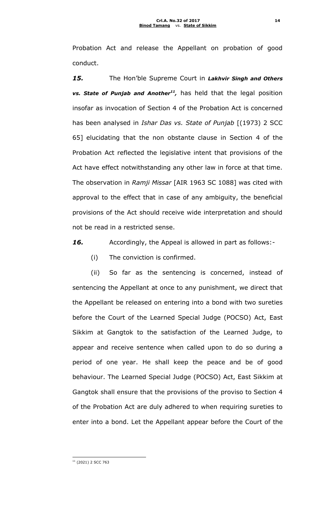Probation Act and release the Appellant on probation of good conduct.

*15.* The Hon'ble Supreme Court in *Lakhvir Singh and Others vs. State of Punjab and Another<sup>11</sup> ,* has held that the legal position insofar as invocation of Section 4 of the Probation Act is concerned has been analysed in *Ishar Das vs. State of Punjab* [(1973) 2 SCC 65] elucidating that the non obstante clause in Section 4 of the Probation Act reflected the legislative intent that provisions of the Act have effect notwithstanding any other law in force at that time. The observation in *Ramji Missar* [AIR 1963 SC 1088] was cited with approval to the effect that in case of any ambiguity, the beneficial provisions of the Act should receive wide interpretation and should not be read in a restricted sense.

*16.* Accordingly, the Appeal is allowed in part as follows:-

(i) The conviction is confirmed.

(ii) So far as the sentencing is concerned, instead of sentencing the Appellant at once to any punishment, we direct that the Appellant be released on entering into a bond with two sureties before the Court of the Learned Special Judge (POCSO) Act, East Sikkim at Gangtok to the satisfaction of the Learned Judge, to appear and receive sentence when called upon to do so during a period of one year. He shall keep the peace and be of good behaviour. The Learned Special Judge (POCSO) Act, East Sikkim at Gangtok shall ensure that the provisions of the proviso to Section 4 of the Probation Act are duly adhered to when requiring sureties to enter into a bond. Let the Appellant appear before the Court of the

1  $11$  (2021) 2 SCC 763